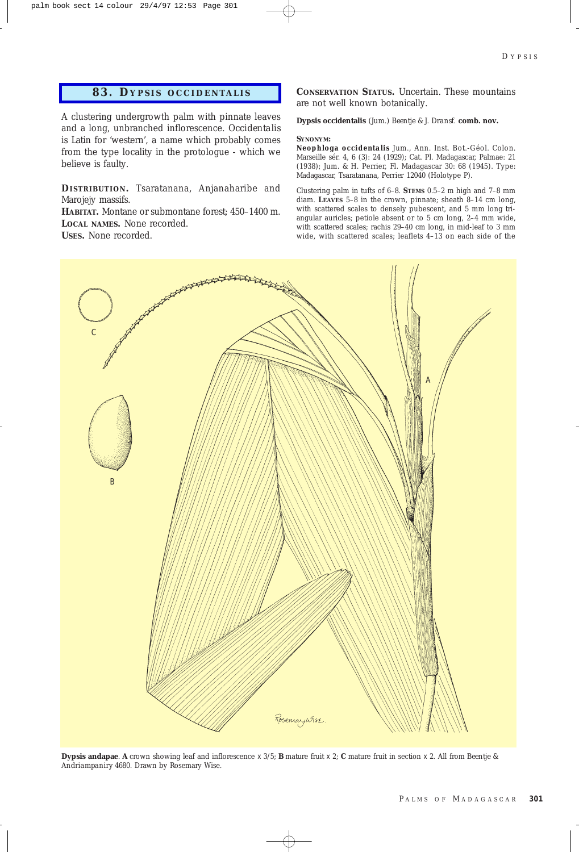## **83. D YPSIS OCCIDENTALIS**

A clustering undergrowth palm with pinnate leaves and a long, unbranched inflorescence. *Occidentalis* is Latin for 'western', a name which probably comes from the type locality in the protologue - which we believe is faulty.

**DISTRIBUTION .** Tsaratanana, Anjanaharibe and Marojejy massifs.

**HABITAT.** Montane or submontane forest; 450–1400 m. **LOCAL NAMES.** None recorded.

**USES.** None recorded.

**CONSERVATION STATUS.** Uncertain. These mountains are not well known botanically.

**Dypsis occidentalis** *(Jum.) Beentje & J. Dransf*. **comb. nov.**

### **SYNONYM:**

*Neophloga occidentalis* Jum., Ann. Inst. Bot.-Géol. Colon. Marseille sér. 4, 6 (3): 24 (1929); Cat. Pl. Madagascar, Palmae: 21 (1938); Jum. & H. Perrier, Fl. Madagascar 30: 68 (1945). Type: Madagascar, Tsaratanana, *Perrier* 12040 (Holotype P).

Clustering palm in tufts of 6–8. **STEMS** 0.5–2 m high and 7–8 mm diam. **LEAVES** 5–8 in the crown, pinnate; sheath 8–14 cm long, with scattered scales to densely pubescent, and 5 mm long triangular auricles; petiole absent or to 5 cm long, 2–4 mm wide, with scattered scales; rachis 29–40 cm long, in mid-leaf to 3 mm wide, with scattered scales; leaflets 4–13 on each side of the



**Dypsis andapae**. **A** crown showing leaf and inflorescence x 3/5; **B** mature fruit x 2; **C** mature fruit in section x 2. All from *Beentje & Andriampaniry* 4680. Drawn by Rosemary Wise.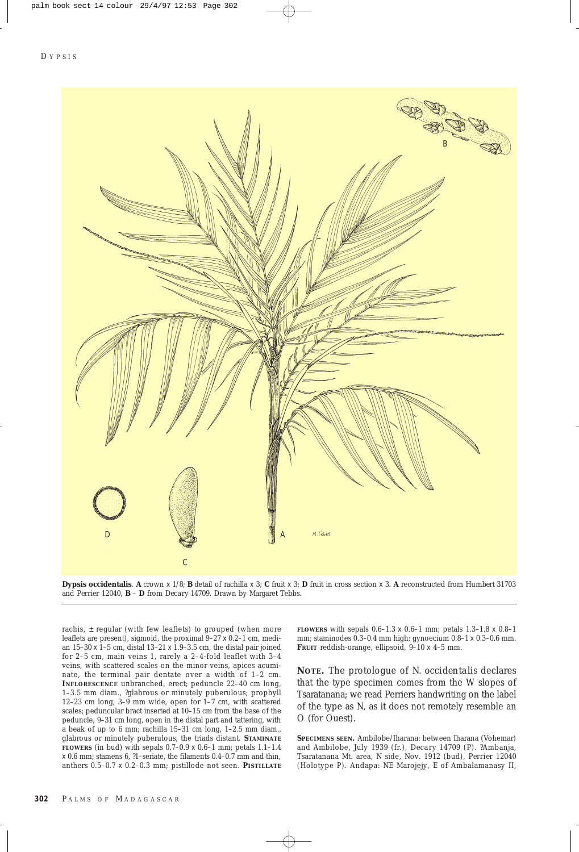

**Dypsis occidentalis**. **A** crown x 1/8; **B** detail of rachilla x 3; **C** fruit x 3; **D** fruit in cross section x 3. **A** reconstructed from *Humbert* 31703 and *Perrier* 12040, **B** – **D** from *Decary* 14709. Drawn by Margaret Tebbs.

rachis,  $\pm$  regular (with few leaflets) to grouped (when more leaflets are present), sigmoid, the proximal 9–27 x 0.2–1 cm, median 15–30 x 1–5 cm, distal 13–21 x 1.9–3.5 cm, the distal pair joined for 2–5 cm, main veins 1, rarely a 2–4-fold leaflet with 3–4 veins, with scattered scales on the minor veins, apices acuminate, the terminal pair dentate over a width of 1–2 cm. **INFLORESCENCE** unbranched, erect; peduncle 22–40 cm long, 1–3.5 mm diam., ?glabrous or minutely puberulous; prophyll 12–23 cm long, 3–9 mm wide, open for 1–7 cm, with scattered scales; peduncular bract inserted at 10–15 cm from the base of the peduncle, 9–31 cm long, open in the distal part and tattering, with a beak of up to 6 mm; rachilla 15–31 cm long, 1–2.5 mm diam., glabrous or minutely puberulous, the triads distant. **STAMINATE FLOWERS** (in bud) with sepals  $0.7-0.9 \times 0.6-1$  mm; petals  $1.1-1.4$  $\times$  0.6 mm; stamens 6, ?1–seriate, the filaments 0.4–0.7 mm and thin, anthers 0.5–0.7 x 0.2–0.3 mm; pistillode not seen. **PISTILLATE**

**FLOWERS** with sepals 0.6–1.3 x 0.6–1 mm; petals 1.3–1.8 x 0.8–1 mm; staminodes 0.3–0.4 mm high; gynoecium 0.8–1 x 0.3–0.6 mm. **FRUIT** reddish-orange, ellipsoid, 9–10 x 4–5 mm.

**NOTE.** The protologue of *N. occidentalis* declares that the type specimen comes from the W slopes of Tsaratanana; we read Perriers handwriting on the label of the type as N, as it does not remotely resemble an O (for Ouest).

**SPECIMENS SEEN.** Ambilobe/Iharana: between Iharana (Vohemar) and Ambilobe, July 1939 (fr.), *Decary* 14709 (P). ?Ambanja, Tsaratanana Mt. area, N side, Nov. 1912 (bud), *Perrier* 12040 (Holotype P). Andapa: NE Marojejy, E of Ambalamanasy II,